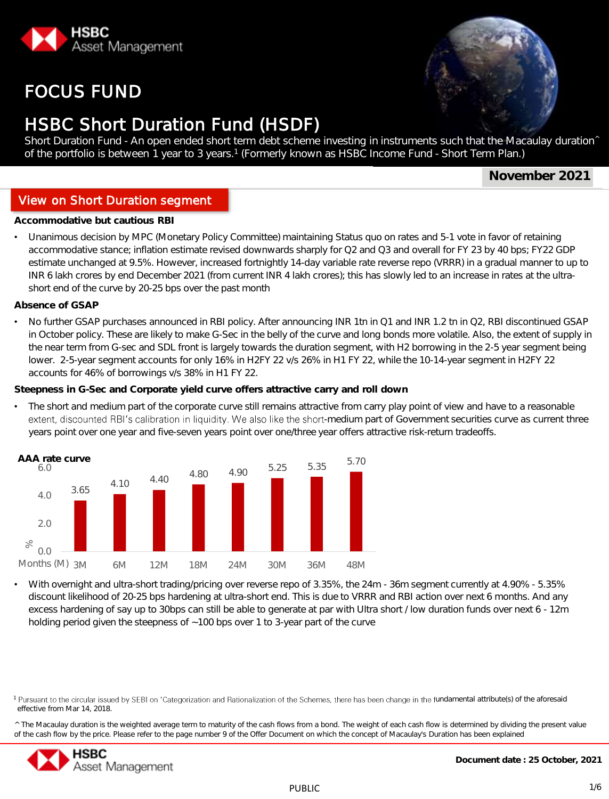

## FOCUS FUND



# **HSBC Short Duration Fund (HSDF)**

Short Duration Fund - An open ended short term debt scheme investing in instruments such that the Macaulay duration^ of the portfolio is between 1 year to 3 years. 1 (Formerly known as HSBC Income Fund - Short Term Plan.)

**November 2021**

### View on Short Duration segment

**Investment Objective**<br> **Investor Accommodative but cautious RBI** 

• Unanimous decision by MPC (Monetary Policy Committee) maintaining Status quo on rates and 5-1 vote in favor of retaining accommodative stance; inflation estimate revised downwards sharply for Q2 and Q3 and overall for FY 23 by 40 bps; FY22 GDP estimate unchanged at 9.5%. However, increased fortnightly 14-day variable rate reverse repo (VRRR) in a gradual manner to up to INR 6 lakh crores by end December 2021 (from current INR 4 lakh crores); this has slowly led to an increase in rates at the ultrashort end of the curve by 20-25 bps over the past month

**Absence of GSAP**

No further GSAP purchases announced in RBI policy. After announcing INR 1tn in Q1 and INR 1.2 tn in Q2, RBI discontinued GSAP in October policy. These are likely to make G-Sec in the belly of the curve and long bonds more volatile. Also, the extent of supply in the near term from G-sec and SDL front is largely towards the duration segment, with H2 borrowing in the 2-5 year segment being lower. 2-5-year segment accounts for only 16% in H2FY 22 v/s 26% in H1 FY 22, while the 10-14-year segment in H2FY 22 accounts for 46% of borrowings v/s 38% in H1 FY 22.

**Steepness in G-Sec and Corporate yield curve offers attractive carry and roll down**

• The short and medium part of the corporate curve still remains attractive from carry play point of view and have to a reasonable extent, discounted RBI's calibration in liquidity. We also like the short-medium part of Government securities curve as current three years point over one year and five-seven years point over one/three year offers attractive risk-return tradeoffs.



• With overnight and ultra-short trading/pricing over reverse repo of 3.35%, the 24m - 36m segment currently at 4.90% - 5.35% discount likelihood of 20-25 bps hardening at ultra-short end. This is due to VRRR and RBI action over next 6 months. And any excess hardening of say up to 30bps can still be able to generate at par with Ultra short / low duration funds over next 6 - 12m holding period given the steepness of ~100 bps over 1 to 3-year part of the curve

<sup>1</sup> Pursuant to the circular issued by SEBI on 'Categorization and Rationalization of the Schemes, there has been change in the fundamental attribute(s) of the aforesaid effective from Mar 14, 2018.

^ The Macaulay duration is the weighted average term to maturity of the cash flows from a bond. The weight of each cash flow is determined by dividing the present value of the cash flow by the price. Please refer to the page number 9 of the Offer Document on which the concept of Macaulay's Duration has been explained

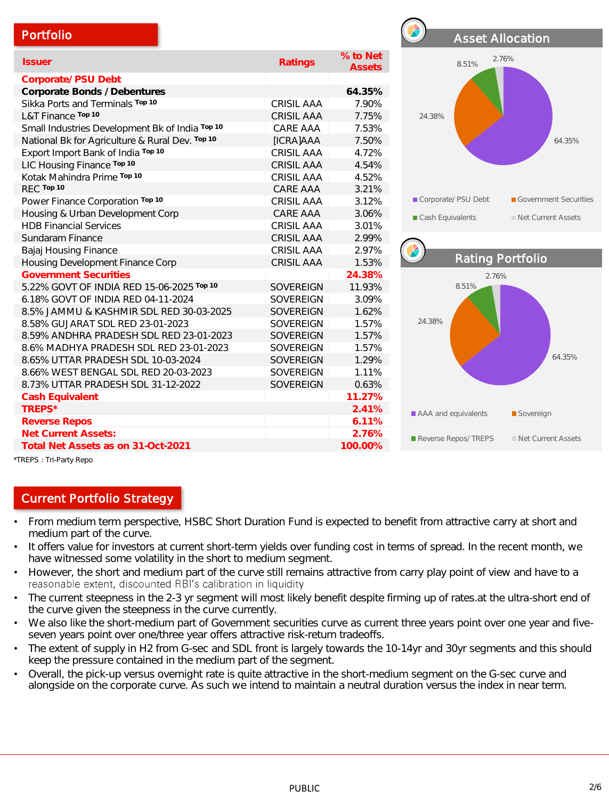| Portfolio                                       |                   |                           |                     | <b>Asset Allocation</b> |
|-------------------------------------------------|-------------------|---------------------------|---------------------|-------------------------|
| <b>Issuer</b>                                   | Ratings           | % to Net<br><b>Assets</b> | 8.51%               | 2.76%                   |
| Corporate/ PSU Debt                             |                   |                           |                     |                         |
| Corporate Bonds / Debentures                    |                   | 64.35%                    |                     |                         |
| Sikka Ports and Terminals Top 10                | <b>CRISIL AAA</b> | 7.90%                     |                     |                         |
| L&T Finance Top 10                              | <b>CRISIL AAA</b> | 7.75%                     | 24.38%              |                         |
| Small Industries Development Bk of India Top 10 | CARE AAA          | 7.53%                     |                     |                         |
| National Bk for Agriculture & Rural Dev. Top 10 | [ICRA]AAA         | 7.50%                     |                     | 64.35%                  |
| Export Import Bank of India Top 10              | CRISIL AAA        | 4.72%                     |                     |                         |
| LIC Housing Finance Top 10                      | <b>CRISIL AAA</b> | 4.54%                     |                     |                         |
| Kotak Mahindra Prime Top 10                     | <b>CRISIL AAA</b> | 4.52%                     |                     |                         |
| REC Top 10                                      | CARE AAA          | 3.21%                     |                     |                         |
| Power Finance Corporation Top 10                | <b>CRISIL AAA</b> | 3.12%                     | Corporate/ PSU Debt | Government Securi       |
| Housing & Urban Development Corp                | CARE AAA          | 3.06%                     | Cash Equivalents    | Net Current Assets      |
| <b>HDB Financial Services</b>                   | <b>CRISIL AAA</b> | 3.01%                     |                     |                         |
| Sundaram Finance                                | CRISIL AAA        | 2.99%                     |                     |                         |
| Bajaj Housing Finance                           | <b>CRISIL AAA</b> | 2.97%                     |                     |                         |
| Housing Development Finance Corp                | <b>CRISIL AAA</b> | 1.53%                     |                     | <b>Rating Portfolio</b> |
| <b>Government Securities</b>                    |                   | 24.38%                    |                     | 2.76%                   |
| 5.22% GOVT OF INDIA RED 15-06-2025 Top 10       | <b>SOVEREIGN</b>  | 11.93%                    | 8.51%               |                         |
| 6.18% GOVT OF INDIA RED 04-11-2024              | <b>SOVEREIGN</b>  | 3.09%                     |                     |                         |
| 8.5% JAMMU & KASHMIR SDL RED 30-03-2025         | SOVEREIGN         | 1.62%                     |                     |                         |
| 8.58% GUJARAT SDL RED 23-01-2023                | <b>SOVEREIGN</b>  | 1.57%                     | 24.38%              |                         |
| 8.59% ANDHRA PRADESH SDL RED 23-01-2023         | SOVEREIGN         | 1.57%                     |                     |                         |
| 8.6% MADHYA PRADESH SDL RED 23-01-2023          | SOVEREIGN         | 1.57%                     |                     |                         |
| 8.65% UTTAR PRADESH SDL 10-03-2024              | <b>SOVEREIGN</b>  | 1.29%                     |                     | 64.35%                  |
| 8.66% WEST BENGAL SDL RED 20-03-2023            | SOVEREIGN         | 1.11%                     |                     |                         |
| 8.73% UTTAR PRADESH SDL 31-12-2022              | SOVEREIGN         | 0.63%                     |                     |                         |
| Cash Equivalent                                 |                   | 11.27%                    |                     |                         |
| TREPS*                                          |                   | 2.41%                     | AAA and equivalents | Sovereign               |
| <b>Reverse Repos</b>                            |                   | 6.11%                     |                     |                         |
| <b>Net Current Assets:</b>                      |                   | 2.76%                     | Reverse Repos/TREPS | Net Current Assets      |
| Total Net Assets as on 31-Oct-2021              |                   | 100.00%                   |                     |                         |
|                                                 |                   |                           |                     |                         |



\*TREPS : Tri-Party Repo

### Current Portfolio Strategy

- From medium term perspective, HSBC Short Duration Fund is expected to benefit from attractive carry at short and medium part of the curve.
- It offers value for investors at current short-term yields over funding cost in terms of spread. In the recent month, we have witnessed some volatility in the short to medium segment.
- However, the short and medium part of the curve still remains attractive from carry play point of view and have to a<br>reasonable extent, discounted RBI's calibration in liquidity
- The current steepness in the 2-3 yr segment will most likely benefit despite firming up of rates.at the ultra-short end of the curve given the steepness in the curve currently.
- We also like the short-medium part of Government securities curve as current three years point over one year and fiveseven years point over one/three year offers attractive risk-return tradeoffs.
- The extent of supply in H2 from G-sec and SDL front is largely towards the 10-14yr and 30yr segments and this should keep the pressure contained in the medium part of the segment.
- Overall, the pick-up versus overnight rate is quite attractive in the short-medium segment on the G-sec curve and alongside on the corporate curve. As such we intend to maintain a neutral duration versus the index in near term.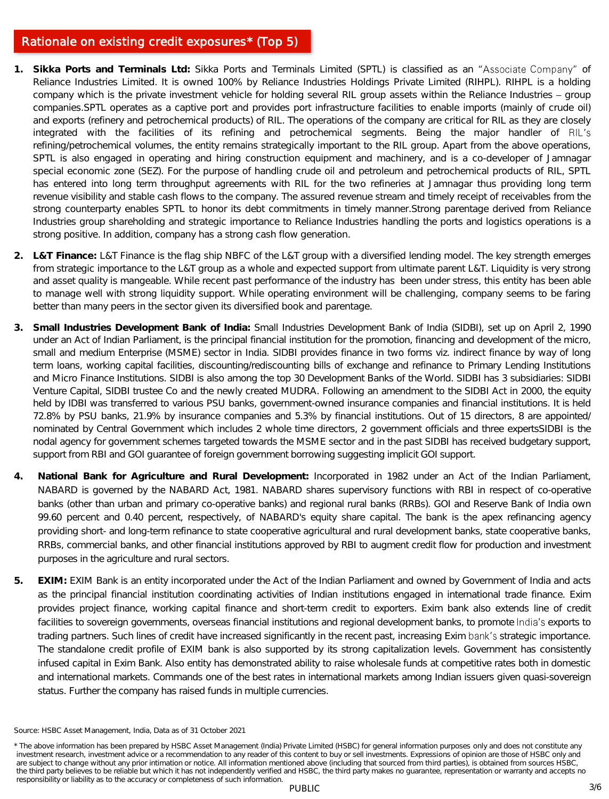### Rationale on existing credit exposures\* (Top 5)

- 1. Sikka Ports and Terminals Ltd: Sikka Ports and Terminals Limited (SPTL) is classified as an "Associate Company" of Reliance Industries Limited. It is owned 100% by Reliance Industries Holdings Private Limited (RIHPL). RIHPL is a holding company which is the private investment vehicle for holding several RIL group assets within the Reliance Industries – group companies.SPTL operates as a captive port and provides port infrastructure facilities to enable imports (mainly of crude oil) and exports (refinery and petrochemical products) of RIL. The operations of the company are critical for RIL as they are closely integrated with the facilities of its refining and petrochemical segments. Being the major handler of RIL's refining/petrochemical volumes, the entity remains strategically important to the RIL group. Apart from the above operations, SPTL is also engaged in operating and hiring construction equipment and machinery, and is a co-developer of Jamnagar special economic zone (SEZ). For the purpose of handling crude oil and petroleum and petrochemical products of RIL, SPTL has entered into long term throughput agreements with RIL for the two refineries at Jamnagar thus providing long term revenue visibility and stable cash flows to the company. The assured revenue stream and timely receipt of receivables from the strong counterparty enables SPTL to honor its debt commitments in timely manner.Strong parentage derived from Reliance Industries group shareholding and strategic importance to Reliance Industries handling the ports and logistics operations is a strong positive. In addition, company has a strong cash flow generation.
- **2. L&T Finance:** L&T Finance is the flag ship NBFC of the L&T group with a diversified lending model. The key strength emerges from strategic importance to the L&T group as a whole and expected support from ultimate parent L&T. Liquidity is very strong and asset quality is mangeable. While recent past performance of the industry has been under stress, this entity has been able to manage well with strong liquidity support. While operating environment will be challenging, company seems to be faring better than many peers in the sector given its diversified book and parentage.
- **3. Small Industries Development Bank of India:** Small Industries Development Bank of India (SIDBI), set up on April 2, 1990 under an Act of Indian Parliament, is the principal financial institution for the promotion, financing and development of the micro, small and medium Enterprise (MSME) sector in India. SIDBI provides finance in two forms viz. indirect finance by way of long term loans, working capital facilities, discounting/rediscounting bills of exchange and refinance to Primary Lending Institutions and Micro Finance Institutions. SIDBI is also among the top 30 Development Banks of the World. SIDBI has 3 subsidiaries: SIDBI Venture Capital, SIDBI trustee Co and the newly created MUDRA. Following an amendment to the SIDBI Act in 2000, the equity held by IDBI was transferred to various PSU banks, government-owned insurance companies and financial institutions. It is held 72.8% by PSU banks, 21.9% by insurance companies and 5.3% by financial institutions. Out of 15 directors, 8 are appointed/ nominated by Central Government which includes 2 whole time directors, 2 government officials and three expertsSIDBI is the nodal agency for government schemes targeted towards the MSME sector and in the past SIDBI has received budgetary support, support from RBI and GOI guarantee of foreign government borrowing suggesting implicit GOI support.
- **4. National Bank for Agriculture and Rural Development:** Incorporated in 1982 under an Act of the Indian Parliament, NABARD is governed by the NABARD Act, 1981. NABARD shares supervisory functions with RBI in respect of co-operative banks (other than urban and primary co-operative banks) and regional rural banks (RRBs). GOI and Reserve Bank of India own 99.60 percent and 0.40 percent, respectively, of NABARD's equity share capital. The bank is the apex refinancing agency providing short- and long-term refinance to state cooperative agricultural and rural development banks, state cooperative banks, RRBs, commercial banks, and other financial institutions approved by RBI to augment credit flow for production and investment purposes in the agriculture and rural sectors.
- **5. EXIM:** EXIM Bank is an entity incorporated under the Act of the Indian Parliament and owned by Government of India and acts as the principal financial institution coordinating activities of Indian institutions engaged in international trade finance. Exim provides project finance, working capital finance and short-term credit to exporters. Exim bank also extends line of credit facilities to sovereign governments, overseas financial institutions and regional development banks, to promote India's exports to trading partners. Such lines of credit have increased significantly in the recent past, increasing Exim bank's strategic importance. The standalone credit profile of EXIM bank is also supported by its strong capitalization levels. Government has consistently infused capital in Exim Bank. Also entity has demonstrated ability to raise wholesale funds at competitive rates both in domestic and international markets. Commands one of the best rates in international markets among Indian issuers given quasi-sovereign status. Further the company has raised funds in multiple currencies.

Source: HSBC Asset Management, India, Data as of 31 October 2021

<sup>\*</sup> The above information has been prepared by HSBC Asset Management (India) Private Limited (HSBC) for general information purposes only and does not constitute any investment research, investment advice or a recommendation to any reader of this content to buy or sell investments. Expressions of opinion are those of HSBC only and are subject to change without any prior intimation or notice. All information mentioned above (including that sourced from third parties), is obtained from sources HSBC, the third party believes to be reliable but which it has not independently verified and HSBC, the third party makes no guarantee, representation or warranty and accepts no responsibility or liability as to the accuracy or completeness of such information.